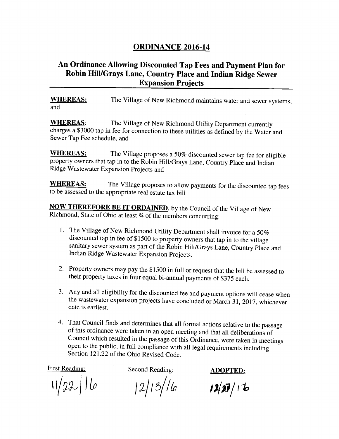## **ORDINANCE 2016-14**

## An Ordinance Allowing Discounted Tap Fees and Payment Plan for Robin Hill/Grays Lane, Country Place and Indian Ridge Sewer Expansion Projects

WHEREAS: The Village of New Richmond maintains water and sewer systems, and

WHEREAS: The Village of New Richmond Utility Department currently charges a \$3000 tap in fee for connection to these utilities as defined by the Water and Sewer Tap Fee schedule, and

WHEREAS: The Village proposes a 50% discounted sewer tap fee for eligible property owners that tap in to the Robin Hill/Grays Lane, Country Place and Indian Ridge Wastewater Expansion Projects and

WHEREAS: The Village proposes to allow payments for the discounted tap fees to be assessed to the appropriate real estate tax bill

**NOW THEREFORE BE IT ORDAINED**, by the Council of the Village of New Richmond, State of Ohio at least 34 of the members concurring:

- 1. The Village of New Richmond Utility Department shall invoice for <sup>a</sup> 50% discounted tap in fee of \$1500 to property owners that tap in to the village sanitary sewer system as part of the Robin Hill/Grays Lane, Country Place and Indian Ridge Wastewater Expansion Projects.
- 2. Property owners may pay the \$ <sup>1500</sup> in full or request that the bill be assessed to their property taxes in four equal bi-annual payments of \$375 each.
- 3. Any and all eligibility for the discounted fee and payment options will cease when the wastewater expansion projects have concluded or March 31, 2017, whichever date is earliest.
- 4. That Council finds and determines that all formal actions relative to the passage of this ordinance were taken in an open meeting and that all deliberations of Council which resulted in the passage of this Ordinance, were taken in meetings open to the public, in full compliance with all legal requirements including Section 121.22 of the Ohio Revised Code.

 $11/22$  16

First Reading: Second Reading: ADOPTED:

 $|2|13|$ /le

 $12/27/16$